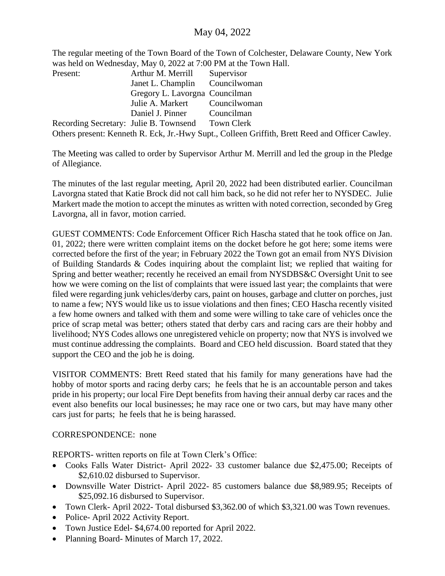## May 04, 2022

The regular meeting of the Town Board of the Town of Colchester, Delaware County, New York was held on Wednesday, May 0, 2022 at 7:00 PM at the Town Hall.

| Present:                               | Arthur M. Merrill              | Supervisor                                                                                      |
|----------------------------------------|--------------------------------|-------------------------------------------------------------------------------------------------|
|                                        | Janet L. Champlin Councilwoman |                                                                                                 |
|                                        | Gregory L. Lavorgna Councilman |                                                                                                 |
|                                        | Julie A. Markert Councilwoman  |                                                                                                 |
|                                        | Daniel J. Pinner Councilman    |                                                                                                 |
| Recording Secretary: Julie B. Townsend |                                | <b>Town Clerk</b>                                                                               |
|                                        |                                | Others present: Kenneth R. Eck, Jr.-Hwy Supt., Colleen Griffith, Brett Reed and Officer Cawley. |

The Meeting was called to order by Supervisor Arthur M. Merrill and led the group in the Pledge of Allegiance.

The minutes of the last regular meeting, April 20, 2022 had been distributed earlier. Councilman Lavorgna stated that Katie Brock did not call him back, so he did not refer her to NYSDEC. Julie Markert made the motion to accept the minutes as written with noted correction, seconded by Greg Lavorgna, all in favor, motion carried.

GUEST COMMENTS: Code Enforcement Officer Rich Hascha stated that he took office on Jan. 01, 2022; there were written complaint items on the docket before he got here; some items were corrected before the first of the year; in February 2022 the Town got an email from NYS Division of Building Standards & Codes inquiring about the complaint list; we replied that waiting for Spring and better weather; recently he received an email from NYSDBS&C Oversight Unit to see how we were coming on the list of complaints that were issued last year; the complaints that were filed were regarding junk vehicles/derby cars, paint on houses, garbage and clutter on porches, just to name a few; NYS would like us to issue violations and then fines; CEO Hascha recently visited a few home owners and talked with them and some were willing to take care of vehicles once the price of scrap metal was better; others stated that derby cars and racing cars are their hobby and livelihood; NYS Codes allows one unregistered vehicle on property; now that NYS is involved we must continue addressing the complaints. Board and CEO held discussion. Board stated that they support the CEO and the job he is doing.

VISITOR COMMENTS: Brett Reed stated that his family for many generations have had the hobby of motor sports and racing derby cars; he feels that he is an accountable person and takes pride in his property; our local Fire Dept benefits from having their annual derby car races and the event also benefits our local businesses; he may race one or two cars, but may have many other cars just for parts; he feels that he is being harassed.

## CORRESPONDENCE: none

REPORTS- written reports on file at Town Clerk's Office:

- Cooks Falls Water District- April 2022- 33 customer balance due \$2,475.00; Receipts of \$2,610.02 disbursed to Supervisor.
- Downsville Water District- April 2022- 85 customers balance due \$8,989.95; Receipts of \$25,092.16 disbursed to Supervisor.
- Town Clerk- April 2022- Total disbursed \$3,362.00 of which \$3,321.00 was Town revenues.
- Police- April 2022 Activity Report.
- Town Justice Edel- \$4,674.00 reported for April 2022.
- Planning Board-Minutes of March 17, 2022.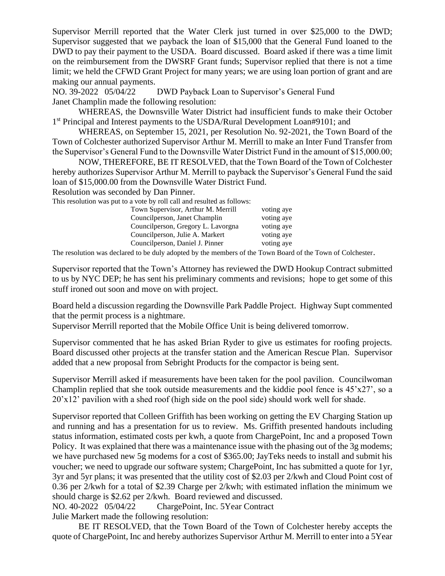Supervisor Merrill reported that the Water Clerk just turned in over \$25,000 to the DWD; Supervisor suggested that we payback the loan of \$15,000 that the General Fund loaned to the DWD to pay their payment to the USDA. Board discussed. Board asked if there was a time limit on the reimbursement from the DWSRF Grant funds; Supervisor replied that there is not a time limit; we held the CFWD Grant Project for many years; we are using loan portion of grant and are making our annual payments.

NO. 39-2022 05/04/22 DWD Payback Loan to Supervisor's General Fund Janet Champlin made the following resolution:

WHEREAS, the Downsville Water District had insufficient funds to make their October 1<sup>st</sup> Principal and Interest payments to the USDA/Rural Development Loan#9101; and

WHEREAS, on September 15, 2021, per Resolution No. 92-2021, the Town Board of the Town of Colchester authorized Supervisor Arthur M. Merrill to make an Inter Fund Transfer from the Supervisor's General Fund to the Downsville Water District Fund in the amount of \$15,000.00;

NOW, THEREFORE, BE IT RESOLVED, that the Town Board of the Town of Colchester hereby authorizes Supervisor Arthur M. Merrill to payback the Supervisor's General Fund the said loan of \$15,000.00 from the Downsville Water District Fund.

Resolution was seconded by Dan Pinner.

This resolution was put to a vote by roll call and resulted as follows:

| Town Supervisor, Arthur M. Merrill | voting aye |
|------------------------------------|------------|
| Councilperson, Janet Champlin      | voting aye |
| Councilperson, Gregory L. Lavorgna | voting aye |
| Councilperson, Julie A. Markert    | voting aye |
| Councilperson, Daniel J. Pinner    | voting aye |

The resolution was declared to be duly adopted by the members of the Town Board of the Town of Colchester.

Supervisor reported that the Town's Attorney has reviewed the DWD Hookup Contract submitted to us by NYC DEP; he has sent his preliminary comments and revisions; hope to get some of this stuff ironed out soon and move on with project.

Board held a discussion regarding the Downsville Park Paddle Project. Highway Supt commented that the permit process is a nightmare.

Supervisor Merrill reported that the Mobile Office Unit is being delivered tomorrow.

Supervisor commented that he has asked Brian Ryder to give us estimates for roofing projects. Board discussed other projects at the transfer station and the American Rescue Plan. Supervisor added that a new proposal from Sebright Products for the compactor is being sent.

Supervisor Merrill asked if measurements have been taken for the pool pavilion. Councilwoman Champlin replied that she took outside measurements and the kiddie pool fence is  $45'x27'$ , so a 20'x12' pavilion with a shed roof (high side on the pool side) should work well for shade.

Supervisor reported that Colleen Griffith has been working on getting the EV Charging Station up and running and has a presentation for us to review. Ms. Griffith presented handouts including status information, estimated costs per kwh, a quote from ChargePoint, Inc and a proposed Town Policy. It was explained that there was a maintenance issue with the phasing out of the 3g modems; we have purchased new 5g modems for a cost of \$365.00; JayTeks needs to install and submit his voucher; we need to upgrade our software system; ChargePoint, Inc has submitted a quote for 1yr, 3yr and 5yr plans; it was presented that the utility cost of \$2.03 per 2/kwh and Cloud Point cost of 0.36 per 2/kwh for a total of \$2.39 Charge per 2/kwh; with estimated inflation the minimum we should charge is \$2.62 per 2/kwh. Board reviewed and discussed.

NO. 40-2022 05/04/22 ChargePoint, Inc. 5Year Contract Julie Markert made the following resolution:

BE IT RESOLVED, that the Town Board of the Town of Colchester hereby accepts the quote of ChargePoint, Inc and hereby authorizes Supervisor Arthur M. Merrill to enter into a 5Year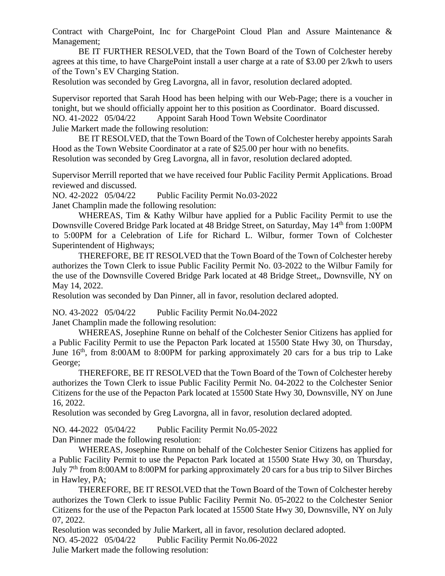Contract with ChargePoint, Inc for ChargePoint Cloud Plan and Assure Maintenance & Management;

BE IT FURTHER RESOLVED, that the Town Board of the Town of Colchester hereby agrees at this time, to have ChargePoint install a user charge at a rate of \$3.00 per 2/kwh to users of the Town's EV Charging Station.

Resolution was seconded by Greg Lavorgna, all in favor, resolution declared adopted.

Supervisor reported that Sarah Hood has been helping with our Web-Page; there is a voucher in tonight, but we should officially appoint her to this position as Coordinator. Board discussed. NO. 41-2022 05/04/22 Appoint Sarah Hood Town Website Coordinator Julie Markert made the following resolution:

BE IT RESOLVED, that the Town Board of the Town of Colchester hereby appoints Sarah Hood as the Town Website Coordinator at a rate of \$25.00 per hour with no benefits. Resolution was seconded by Greg Lavorgna, all in favor, resolution declared adopted.

Supervisor Merrill reported that we have received four Public Facility Permit Applications. Broad reviewed and discussed.

NO. 42-2022 05/04/22 Public Facility Permit No.03-2022

Janet Champlin made the following resolution:

WHEREAS, Tim & Kathy Wilbur have applied for a Public Facility Permit to use the Downsville Covered Bridge Park located at 48 Bridge Street, on Saturday, May 14<sup>th</sup> from 1:00PM to 5:00PM for a Celebration of Life for Richard L. Wilbur, former Town of Colchester Superintendent of Highways;

THEREFORE, BE IT RESOLVED that the Town Board of the Town of Colchester hereby authorizes the Town Clerk to issue Public Facility Permit No. 03-2022 to the Wilbur Family for the use of the Downsville Covered Bridge Park located at 48 Bridge Street,, Downsville, NY on May 14, 2022.

Resolution was seconded by Dan Pinner, all in favor, resolution declared adopted.

NO. 43-2022 05/04/22 Public Facility Permit No.04-2022

Janet Champlin made the following resolution:

WHEREAS, Josephine Runne on behalf of the Colchester Senior Citizens has applied for a Public Facility Permit to use the Pepacton Park located at 15500 State Hwy 30, on Thursday, June  $16<sup>th</sup>$ , from 8:00AM to 8:00PM for parking approximately 20 cars for a bus trip to Lake George;

THEREFORE, BE IT RESOLVED that the Town Board of the Town of Colchester hereby authorizes the Town Clerk to issue Public Facility Permit No. 04-2022 to the Colchester Senior Citizens for the use of the Pepacton Park located at 15500 State Hwy 30, Downsville, NY on June 16, 2022.

Resolution was seconded by Greg Lavorgna, all in favor, resolution declared adopted.

NO. 44-2022 05/04/22 Public Facility Permit No.05-2022

Dan Pinner made the following resolution:

WHEREAS, Josephine Runne on behalf of the Colchester Senior Citizens has applied for a Public Facility Permit to use the Pepacton Park located at 15500 State Hwy 30, on Thursday, July 7<sup>th</sup> from 8:00AM to 8:00PM for parking approximately 20 cars for a bus trip to Silver Birches in Hawley, PA;

THEREFORE, BE IT RESOLVED that the Town Board of the Town of Colchester hereby authorizes the Town Clerk to issue Public Facility Permit No. 05-2022 to the Colchester Senior Citizens for the use of the Pepacton Park located at 15500 State Hwy 30, Downsville, NY on July 07, 2022.

Resolution was seconded by Julie Markert, all in favor, resolution declared adopted. NO. 45-2022 05/04/22 Public Facility Permit No.06-2022 Julie Markert made the following resolution: